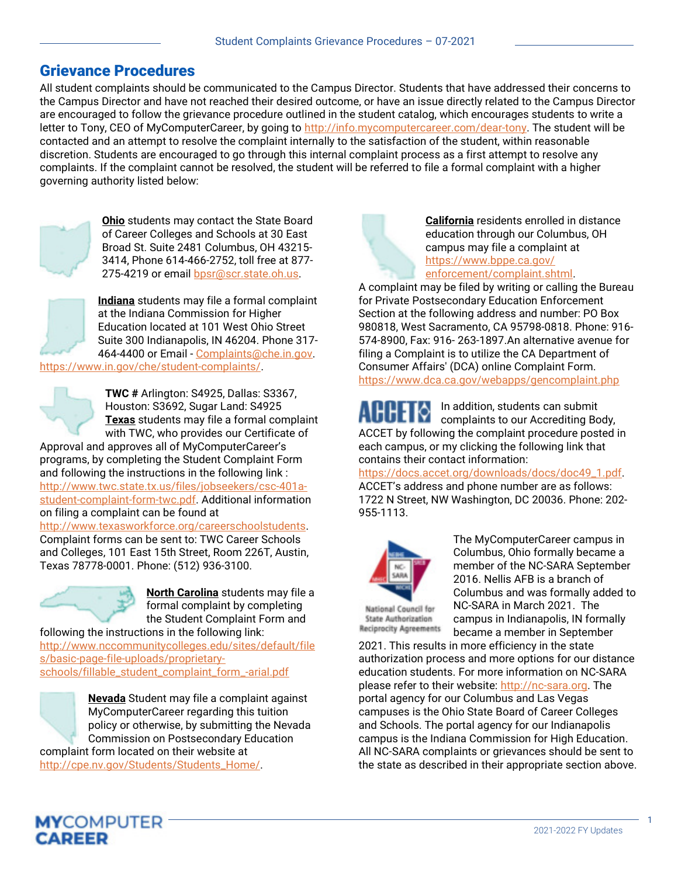## Grievance Procedures

All student complaints should be communicated to the Campus Director. Students that have addressed their concerns to the Campus Director and have not reached their desired outcome, or have an issue directly related to the Campus Director are encouraged to follow the grievance procedure outlined in the student catalog, which encourages students to write a letter to Tony, CEO of MyComputerCareer, by going to http://info.mycomputercareer.com/dear-tony. The student will be contacted and an attempt to resolve the complaint internally to the satisfaction of the student, within reasonable discretion. Students are encouraged to go through this internal complaint process as a first attempt to resolve any complaints. If the complaint cannot be resolved, the student will be referred to file a formal complaint with a higher governing authority listed below:



Ohio students may contact the State Board of Career Colleges and Schools at 30 East Broad St. Suite 2481 Columbus, OH 43215- 3414, Phone 614-466-2752, toll free at 877- 275-4219 or email bpsr@scr.state.oh.us.



Indiana students may file a formal complaint at the Indiana Commission for Higher Education located at 101 West Ohio Street Suite 300 Indianapolis, IN 46204. Phone 317- 464-4400 or Email - Complaints@che.in.gov.

https://www.in.gov/che/student-complaints/.



TWC # Arlington: S4925, Dallas: S3367, Houston: S3692, Sugar Land: S4925 Texas students may file a formal complaint with TWC, who provides our Certificate of

Approval and approves all of MyComputerCareer's programs, by completing the Student Complaint Form and following the instructions in the following link : http://www.twc.state.tx.us/files/jobseekers/csc-401astudent-complaint-form-twc.pdf. Additional information on filing a complaint can be found at

http://www.texasworkforce.org/careerschoolstudents. Complaint forms can be sent to: TWC Career Schools and Colleges, 101 East 15th Street, Room 226T, Austin, Texas 78778-0001. Phone: (512) 936-3100.



North Carolina students may file a formal complaint by completing the Student Complaint Form and

following the instructions in the following link: http://www.nccommunitycolleges.edu/sites/default/file s/basic-page-file-uploads/proprietaryschools/fillable\_student\_complaint\_form\_-arial.pdf

> Nevada Student may file a complaint against MyComputerCareer regarding this tuition policy or otherwise, by submitting the Nevada Commission on Postsecondary Education

complaint form located on their website at http://cpe.nv.gov/Students/Students\_Home/.



A complaint may be filed by writing or calling the Bureau for Private Postsecondary Education Enforcement Section at the following address and number: PO Box 980818, West Sacramento, CA 95798-0818. Phone: 916- 574-8900, Fax: 916- 263-1897.An alternative avenue for filing a Complaint is to utilize the CA Department of Consumer Affairs' (DCA) online Complaint Form. https://www.dca.ca.gov/webapps/gencomplaint.php

In addition, students can submit complaints to our Accrediting Body, ACCET by following the complaint procedure posted in each campus, or my clicking the following link that contains their contact information:

https://docs.accet.org/downloads/docs/doc49\_1.pdf. ACCET's address and phone number are as follows: 1722 N Street, NW Washington, DC 20036. Phone: 202- 955-1113.



The MyComputerCareer campus in Columbus, Ohio formally became a member of the NC-SARA September 2016. Nellis AFB is a branch of Columbus and was formally added to NC-SARA in March 2021. The campus in Indianapolis, IN formally became a member in September

**Reciprocity Agreements** 2021. This results in more efficiency in the state authorization process and more options for our distance education students. For more information on NC-SARA please refer to their website: http://nc-sara.org. The

portal agency for our Columbus and Las Vegas campuses is the Ohio State Board of Career Colleges and Schools. The portal agency for our Indianapolis campus is the Indiana Commission for High Education. All NC-SARA complaints or grievances should be sent to the state as described in their appropriate section above.

1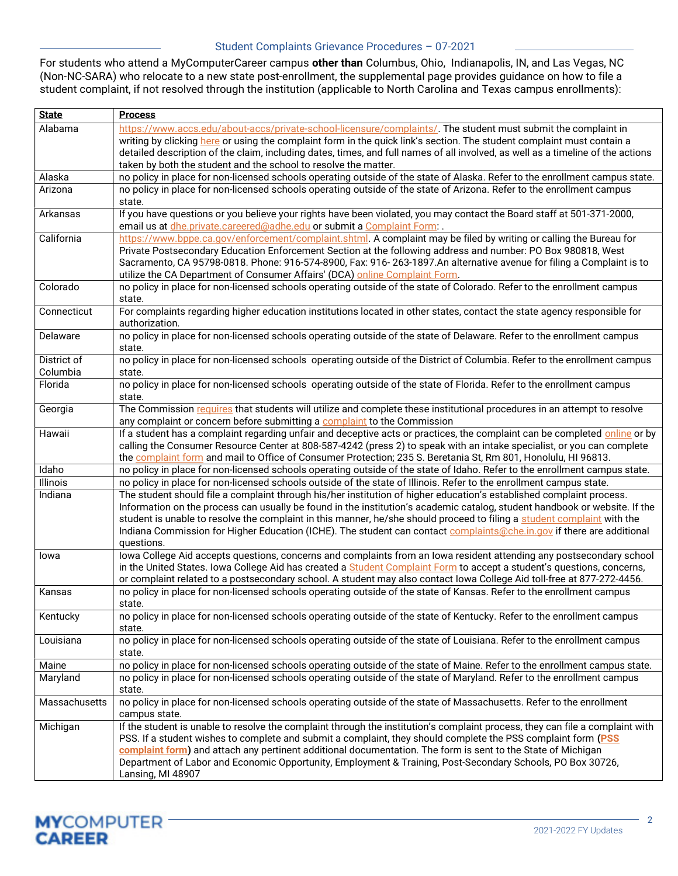## Student Complaints Grievance Procedures – 07-2021

For students who attend a MyComputerCareer campus other than Columbus, Ohio, Indianapolis, IN, and Las Vegas, NC (Non-NC-SARA) who relocate to a new state post-enrollment, the supplemental page provides guidance on how to file a student complaint, if not resolved through the institution (applicable to North Carolina and Texas campus enrollments):

| <b>State</b>  | <b>Process</b>                                                                                                                                 |
|---------------|------------------------------------------------------------------------------------------------------------------------------------------------|
| Alabama       | https://www.accs.edu/about-accs/private-school-licensure/complaints/. The student must submit the complaint in                                 |
|               | writing by clicking here or using the complaint form in the quick link's section. The student complaint must contain a                         |
|               | detailed description of the claim, including dates, times, and full names of all involved, as well as a timeline of the actions                |
|               | taken by both the student and the school to resolve the matter.                                                                                |
| Alaska        | no policy in place for non-licensed schools operating outside of the state of Alaska. Refer to the enrollment campus state.                    |
| Arizona       | no policy in place for non-licensed schools operating outside of the state of Arizona. Refer to the enrollment campus                          |
|               | state.                                                                                                                                         |
| Arkansas      | If you have questions or you believe your rights have been violated, you may contact the Board staff at 501-371-2000,                          |
|               | email us at dhe.private.careered@adhe.edu or submit a Complaint Form:.                                                                         |
| California    | https://www.bppe.ca.gov/enforcement/complaint.shtml. A complaint may be filed by writing or calling the Bureau for                             |
|               | Private Postsecondary Education Enforcement Section at the following address and number: PO Box 980818, West                                   |
|               | Sacramento, CA 95798-0818. Phone: 916-574-8900, Fax: 916-263-1897.An alternative avenue for filing a Complaint is to                           |
|               | utilize the CA Department of Consumer Affairs' (DCA) online Complaint Form.                                                                    |
| Colorado      | no policy in place for non-licensed schools operating outside of the state of Colorado. Refer to the enrollment campus                         |
|               | state.                                                                                                                                         |
| Connecticut   | For complaints regarding higher education institutions located in other states, contact the state agency responsible for                       |
|               | authorization.                                                                                                                                 |
| Delaware      | no policy in place for non-licensed schools operating outside of the state of Delaware. Refer to the enrollment campus                         |
| District of   | state.                                                                                                                                         |
| Columbia      | no policy in place for non-licensed schools operating outside of the District of Columbia. Refer to the enrollment campus                      |
| Florida       | state.<br>no policy in place for non-licensed schools operating outside of the state of Florida. Refer to the enrollment campus                |
|               | state.                                                                                                                                         |
| Georgia       | The Commission requires that students will utilize and complete these institutional procedures in an attempt to resolve                        |
|               | any complaint or concern before submitting a complaint to the Commission                                                                       |
| Hawaii        | If a student has a complaint regarding unfair and deceptive acts or practices, the complaint can be completed online or by                     |
|               | calling the Consumer Resource Center at 808-587-4242 (press 2) to speak with an intake specialist, or you can complete                         |
|               | the complaint form and mail to Office of Consumer Protection; 235 S. Beretania St, Rm 801, Honolulu, HI 96813.                                 |
| Idaho         | no policy in place for non-licensed schools operating outside of the state of Idaho. Refer to the enrollment campus state.                     |
| Illinois      | no policy in place for non-licensed schools outside of the state of Illinois. Refer to the enrollment campus state.                            |
| Indiana       | The student should file a complaint through his/her institution of higher education's established complaint process.                           |
|               | Information on the process can usually be found in the institution's academic catalog, student handbook or website. If the                     |
|               | student is unable to resolve the complaint in this manner, he/she should proceed to filing a student complaint with the                        |
|               | Indiana Commission for Higher Education (ICHE). The student can contact complaints@che.in.gov if there are additional                          |
|               | questions.                                                                                                                                     |
| lowa          | lowa College Aid accepts questions, concerns and complaints from an lowa resident attending any postsecondary school                           |
|               | in the United States. Iowa College Aid has created a Student Complaint Form to accept a student's questions, concerns,                         |
|               | or complaint related to a postsecondary school. A student may also contact lowa College Aid toll-free at 877-272-4456.                         |
| Kansas        | no policy in place for non-licensed schools operating outside of the state of Kansas. Refer to the enrollment campus                           |
|               | state.                                                                                                                                         |
| Kentucky      | no policy in place for non-licensed schools operating outside of the state of Kentucky. Refer to the enrollment campus                         |
|               | state.                                                                                                                                         |
| Louisiana     | no policy in place for non-licensed schools operating outside of the state of Louisiana. Refer to the enrollment campus                        |
|               | state.                                                                                                                                         |
| Maine         | no policy in place for non-licensed schools operating outside of the state of Maine. Refer to the enrollment campus state.                     |
| Maryland      | no policy in place for non-licensed schools operating outside of the state of Maryland. Refer to the enrollment campus                         |
|               | state.                                                                                                                                         |
| Massachusetts | no policy in place for non-licensed schools operating outside of the state of Massachusetts. Refer to the enrollment                           |
| Michigan      | campus state.<br>If the student is unable to resolve the complaint through the institution's complaint process, they can file a complaint with |
|               | PSS. If a student wishes to complete and submit a complaint, they should complete the PSS complaint form (PSS                                  |
|               | complaint form) and attach any pertinent additional documentation. The form is sent to the State of Michigan                                   |
|               | Department of Labor and Economic Opportunity, Employment & Training, Post-Secondary Schools, PO Box 30726,                                     |
|               | Lansing, MI 48907                                                                                                                              |
|               |                                                                                                                                                |

2